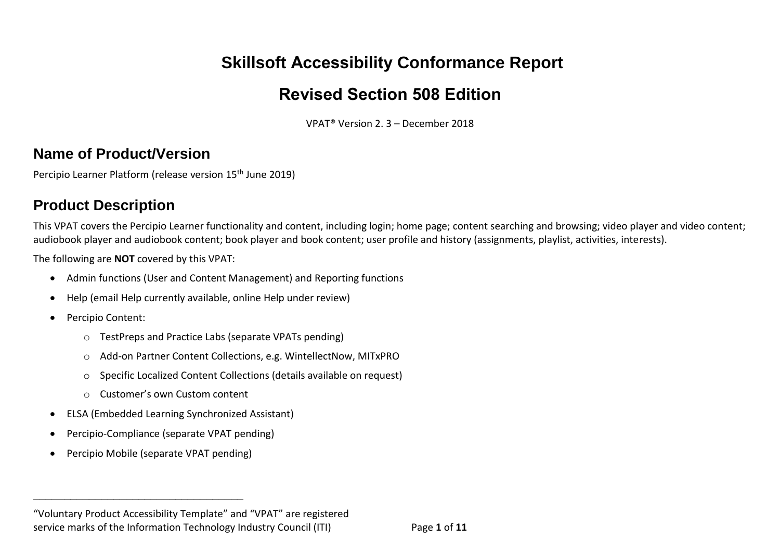# **Skillsoft Accessibility Conformance Report**

## **Revised Section 508 Edition**

VPAT® Version 2. 3 – December 2018

#### **Name of Product/Version**

Percipio Learner Platform (release version 15<sup>th</sup> June 2019)

### **Product Description**

This VPAT covers the Percipio Learner functionality and content, including login; home page; content searching and browsing; video player and video content; audiobook player and audiobook content; book player and book content; user profile and history (assignments, playlist, activities, interests).

The following are **NOT** covered by this VPAT:

- Admin functions (User and Content Management) and Reporting functions
- Help (email Help currently available, online Help under review)
- Percipio Content:
	- o TestPreps and Practice Labs (separate VPATs pending)
	- o Add-on Partner Content Collections, e.g. WintellectNow, MITxPRO
	- o Specific Localized Content Collections (details available on request)
	- o Customer's own Custom content
- ELSA (Embedded Learning Synchronized Assistant)
- Percipio-Compliance (separate VPAT pending)
- Percipio Mobile (separate VPAT pending)

**\_\_\_\_\_\_\_\_\_\_\_\_\_\_\_\_\_\_\_\_\_\_\_\_\_\_\_\_\_\_\_\_\_\_**

<sup>&</sup>quot;Voluntary Product Accessibility Template" and "VPAT" are registered service marks of the Information Technology Industry Council (ITI) Page **1** of **11**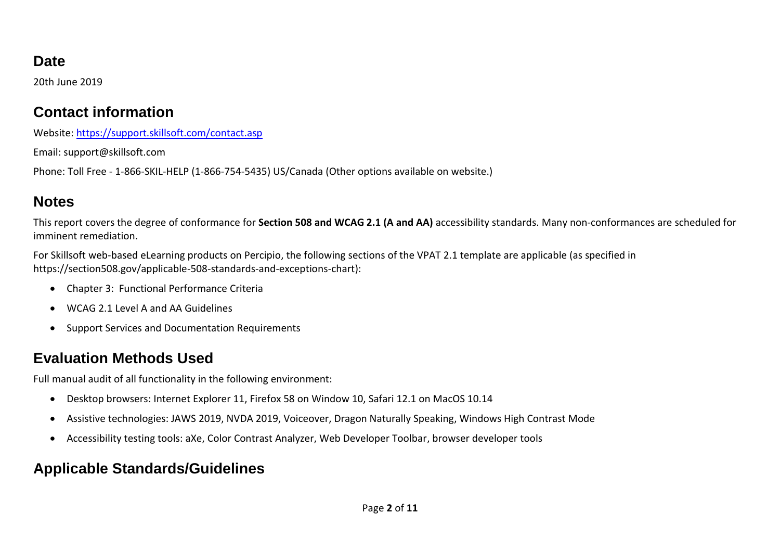#### **Date**

20th June 2019

#### **Contact information**

Website:<https://support.skillsoft.com/contact.asp>

Email: support@skillsoft.com

Phone: Toll Free - 1-866-SKIL-HELP (1-866-754-5435) US/Canada (Other options available on website.)

#### **Notes**

This report covers the degree of conformance for **Section 508 and WCAG 2.1 (A and AA)** accessibility standards. Many non-conformances are scheduled for imminent remediation.

For Skillsoft web-based eLearning products on Percipio, the following sections of the VPAT 2.1 template are applicable (as specified in https://section508.gov/applicable-508-standards-and-exceptions-chart):

- Chapter 3: Functional Performance Criteria
- WCAG 2.1 Level A and AA Guidelines
- Support Services and Documentation Requirements

### **Evaluation Methods Used**

Full manual audit of all functionality in the following environment:

- Desktop browsers: Internet Explorer 11, Firefox 58 on Window 10, Safari 12.1 on MacOS 10.14
- Assistive technologies: JAWS 2019, NVDA 2019, Voiceover, Dragon Naturally Speaking, Windows High Contrast Mode
- Accessibility testing tools: aXe, Color Contrast Analyzer, Web Developer Toolbar, browser developer tools

### **Applicable Standards/Guidelines**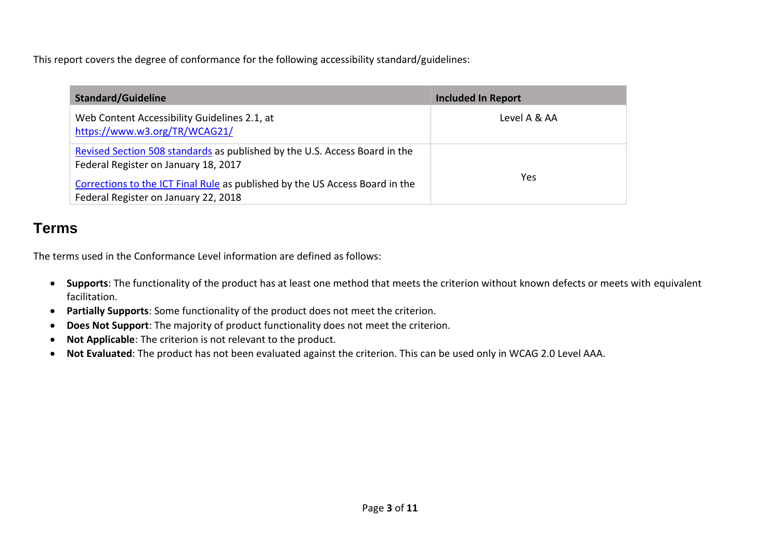This report covers the degree of conformance for the following accessibility standard/guidelines:

| <b>Standard/Guideline</b>                                                                                            | <b>Included In Report</b> |
|----------------------------------------------------------------------------------------------------------------------|---------------------------|
| Web Content Accessibility Guidelines 2.1, at<br>https://www.w3.org/TR/WCAG21/                                        | Level A & AA              |
| Revised Section 508 standards as published by the U.S. Access Board in the<br>Federal Register on January 18, 2017   |                           |
| Corrections to the ICT Final Rule as published by the US Access Board in the<br>Federal Register on January 22, 2018 | Yes                       |

#### **Terms**

The terms used in the Conformance Level information are defined as follows:

- **Supports**: The functionality of the product has at least one method that meets the criterion without known defects or meets with equivalent facilitation.
- **Partially Supports**: Some functionality of the product does not meet the criterion.
- **Does Not Support**: The majority of product functionality does not meet the criterion.
- **Not Applicable**: The criterion is not relevant to the product.
- **Not Evaluated**: The product has not been evaluated against the criterion. This can be used only in WCAG 2.0 Level AAA.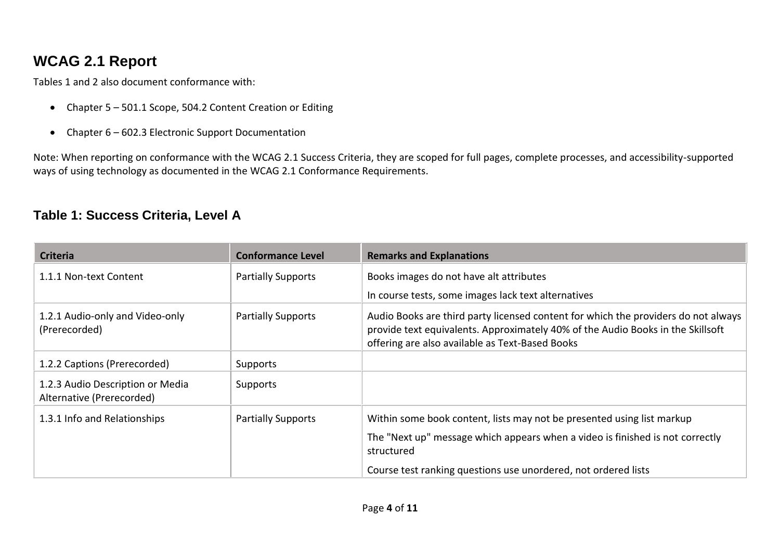### **WCAG 2.1 Report**

Tables 1 and 2 also document conformance with:

- Chapter 5 501.1 Scope, 504.2 Content Creation or Editing
- Chapter 6 602.3 Electronic Support Documentation

Note: When reporting on conformance with the WCAG 2.1 Success Criteria, they are scoped for full pages, complete processes, and accessibility-supported ways of using technology as documented in the WCAG 2.1 [Conformance Requirements.](https://www.w3.org/TR/WCAG20/#conformance-reqs)

#### **Table 1: Success Criteria, Level A**

| <b>Criteria</b>                                               | <b>Conformance Level</b>  | <b>Remarks and Explanations</b>                                                                                                                                                                                          |
|---------------------------------------------------------------|---------------------------|--------------------------------------------------------------------------------------------------------------------------------------------------------------------------------------------------------------------------|
| 1.1.1 Non-text Content                                        | <b>Partially Supports</b> | Books images do not have alt attributes                                                                                                                                                                                  |
|                                                               |                           | In course tests, some images lack text alternatives                                                                                                                                                                      |
| 1.2.1 Audio-only and Video-only<br>(Prerecorded)              | <b>Partially Supports</b> | Audio Books are third party licensed content for which the providers do not always<br>provide text equivalents. Approximately 40% of the Audio Books in the Skillsoft<br>offering are also available as Text-Based Books |
| 1.2.2 Captions (Prerecorded)                                  | Supports                  |                                                                                                                                                                                                                          |
| 1.2.3 Audio Description or Media<br>Alternative (Prerecorded) | Supports                  |                                                                                                                                                                                                                          |
| 1.3.1 Info and Relationships                                  | <b>Partially Supports</b> | Within some book content, lists may not be presented using list markup                                                                                                                                                   |
|                                                               |                           | The "Next up" message which appears when a video is finished is not correctly<br>structured                                                                                                                              |
|                                                               |                           | Course test ranking questions use unordered, not ordered lists                                                                                                                                                           |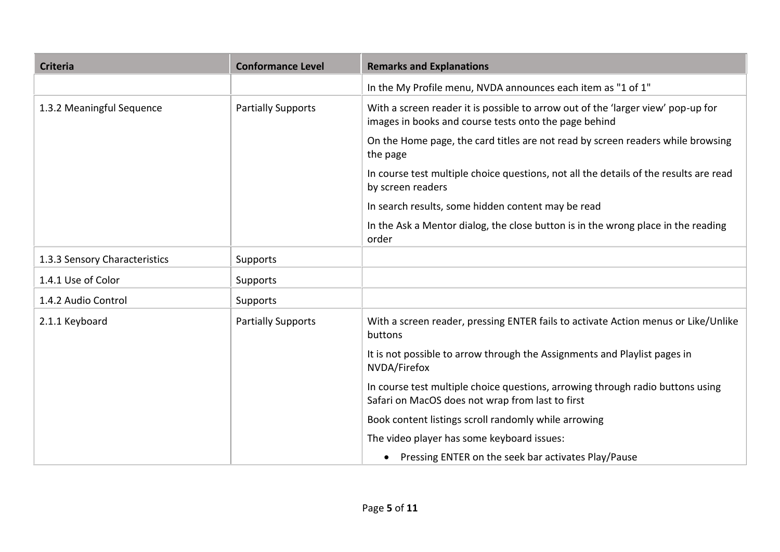| <b>Criteria</b>               | <b>Conformance Level</b>  | <b>Remarks and Explanations</b>                                                                                                           |  |
|-------------------------------|---------------------------|-------------------------------------------------------------------------------------------------------------------------------------------|--|
|                               |                           | In the My Profile menu, NVDA announces each item as "1 of 1"                                                                              |  |
| 1.3.2 Meaningful Sequence     | <b>Partially Supports</b> | With a screen reader it is possible to arrow out of the 'larger view' pop-up for<br>images in books and course tests onto the page behind |  |
|                               |                           | On the Home page, the card titles are not read by screen readers while browsing<br>the page                                               |  |
|                               |                           | In course test multiple choice questions, not all the details of the results are read<br>by screen readers                                |  |
|                               |                           | In search results, some hidden content may be read                                                                                        |  |
|                               |                           | In the Ask a Mentor dialog, the close button is in the wrong place in the reading<br>order                                                |  |
| 1.3.3 Sensory Characteristics | Supports                  |                                                                                                                                           |  |
| 1.4.1 Use of Color            | Supports                  |                                                                                                                                           |  |
| 1.4.2 Audio Control           | Supports                  |                                                                                                                                           |  |
| 2.1.1 Keyboard                | <b>Partially Supports</b> | With a screen reader, pressing ENTER fails to activate Action menus or Like/Unlike<br>buttons                                             |  |
|                               |                           | It is not possible to arrow through the Assignments and Playlist pages in<br>NVDA/Firefox                                                 |  |
|                               |                           | In course test multiple choice questions, arrowing through radio buttons using<br>Safari on MacOS does not wrap from last to first        |  |
|                               |                           | Book content listings scroll randomly while arrowing                                                                                      |  |
|                               |                           | The video player has some keyboard issues:                                                                                                |  |
|                               |                           | Pressing ENTER on the seek bar activates Play/Pause                                                                                       |  |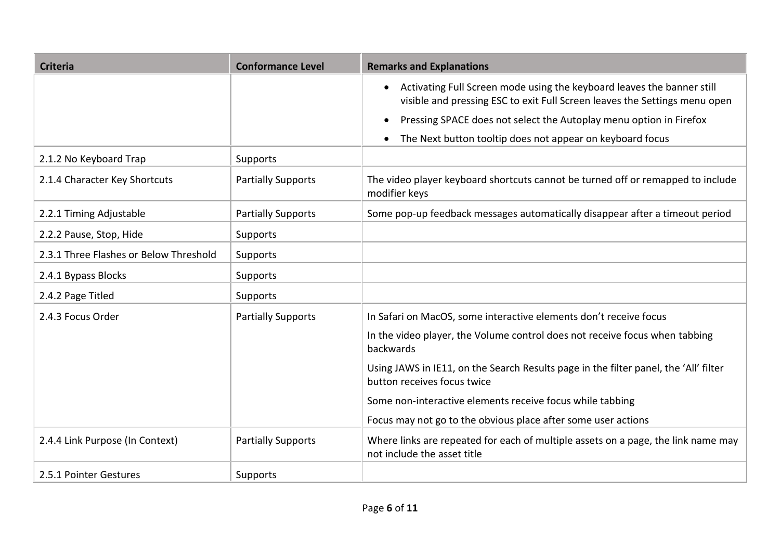| <b>Criteria</b>                        | <b>Conformance Level</b>  | <b>Remarks and Explanations</b>                                                                                                                        |  |
|----------------------------------------|---------------------------|--------------------------------------------------------------------------------------------------------------------------------------------------------|--|
|                                        |                           | • Activating Full Screen mode using the keyboard leaves the banner still<br>visible and pressing ESC to exit Full Screen leaves the Settings menu open |  |
|                                        |                           | Pressing SPACE does not select the Autoplay menu option in Firefox                                                                                     |  |
|                                        |                           | The Next button tooltip does not appear on keyboard focus<br>$\bullet$                                                                                 |  |
| 2.1.2 No Keyboard Trap                 | Supports                  |                                                                                                                                                        |  |
| 2.1.4 Character Key Shortcuts          | <b>Partially Supports</b> | The video player keyboard shortcuts cannot be turned off or remapped to include<br>modifier keys                                                       |  |
| 2.2.1 Timing Adjustable                | <b>Partially Supports</b> | Some pop-up feedback messages automatically disappear after a timeout period                                                                           |  |
| 2.2.2 Pause, Stop, Hide                | Supports                  |                                                                                                                                                        |  |
| 2.3.1 Three Flashes or Below Threshold | Supports                  |                                                                                                                                                        |  |
| 2.4.1 Bypass Blocks                    | Supports                  |                                                                                                                                                        |  |
| 2.4.2 Page Titled                      | Supports                  |                                                                                                                                                        |  |
| 2.4.3 Focus Order                      | <b>Partially Supports</b> | In Safari on MacOS, some interactive elements don't receive focus                                                                                      |  |
|                                        |                           | In the video player, the Volume control does not receive focus when tabbing<br>backwards                                                               |  |
|                                        |                           | Using JAWS in IE11, on the Search Results page in the filter panel, the 'All' filter<br>button receives focus twice                                    |  |
|                                        |                           | Some non-interactive elements receive focus while tabbing                                                                                              |  |
|                                        |                           | Focus may not go to the obvious place after some user actions                                                                                          |  |
| 2.4.4 Link Purpose (In Context)        | <b>Partially Supports</b> | Where links are repeated for each of multiple assets on a page, the link name may<br>not include the asset title                                       |  |
| 2.5.1 Pointer Gestures                 | Supports                  |                                                                                                                                                        |  |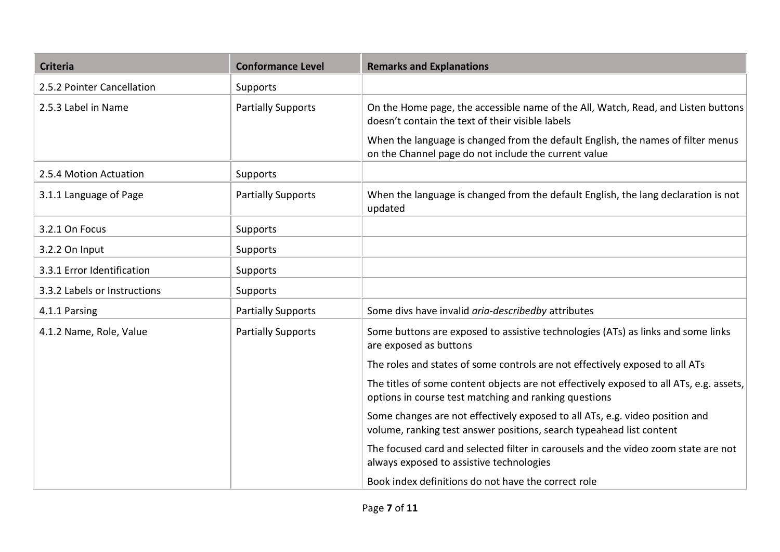| <b>Criteria</b>              | <b>Conformance Level</b>  | <b>Remarks and Explanations</b>                                                                                                                      |  |
|------------------------------|---------------------------|------------------------------------------------------------------------------------------------------------------------------------------------------|--|
| 2.5.2 Pointer Cancellation   | Supports                  |                                                                                                                                                      |  |
| 2.5.3 Label in Name          | <b>Partially Supports</b> | On the Home page, the accessible name of the All, Watch, Read, and Listen buttons<br>doesn't contain the text of their visible labels                |  |
|                              |                           | When the language is changed from the default English, the names of filter menus<br>on the Channel page do not include the current value             |  |
| 2.5.4 Motion Actuation       | Supports                  |                                                                                                                                                      |  |
| 3.1.1 Language of Page       | <b>Partially Supports</b> | When the language is changed from the default English, the lang declaration is not<br>updated                                                        |  |
| 3.2.1 On Focus               | Supports                  |                                                                                                                                                      |  |
| 3.2.2 On Input               | Supports                  |                                                                                                                                                      |  |
| 3.3.1 Error Identification   | Supports                  |                                                                                                                                                      |  |
| 3.3.2 Labels or Instructions | Supports                  |                                                                                                                                                      |  |
| 4.1.1 Parsing                | <b>Partially Supports</b> | Some divs have invalid aria-describedby attributes                                                                                                   |  |
| 4.1.2 Name, Role, Value      | <b>Partially Supports</b> | Some buttons are exposed to assistive technologies (ATs) as links and some links<br>are exposed as buttons                                           |  |
|                              |                           | The roles and states of some controls are not effectively exposed to all ATs                                                                         |  |
|                              |                           | The titles of some content objects are not effectively exposed to all ATs, e.g. assets,<br>options in course test matching and ranking questions     |  |
|                              |                           | Some changes are not effectively exposed to all ATs, e.g. video position and<br>volume, ranking test answer positions, search typeahead list content |  |
|                              |                           | The focused card and selected filter in carousels and the video zoom state are not<br>always exposed to assistive technologies                       |  |
|                              |                           | Book index definitions do not have the correct role                                                                                                  |  |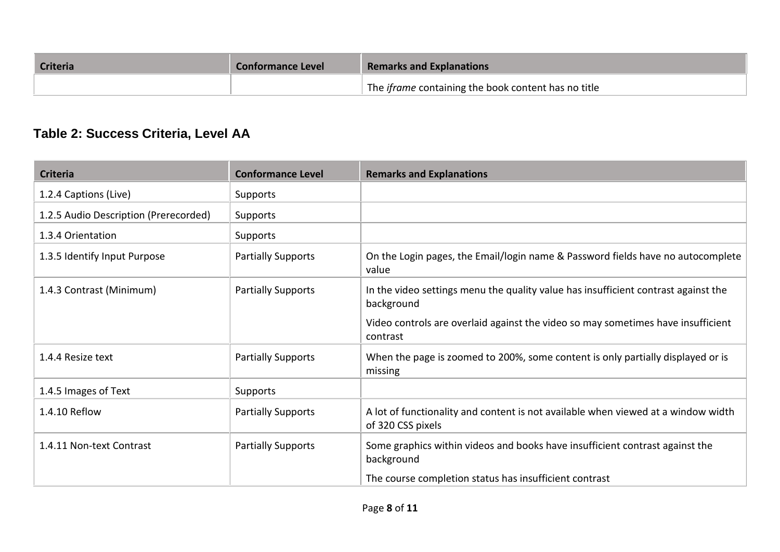| <b>Criteria</b> | <b>Conformance Level</b> | <b>Remarks and Explanations</b>                            |  |
|-----------------|--------------------------|------------------------------------------------------------|--|
|                 |                          | The <i>iframe</i> containing the book content has no title |  |

### **Table 2: Success Criteria, Level AA**

| <b>Criteria</b>                       | <b>Conformance Level</b>  | <b>Remarks and Explanations</b>                                                                        |
|---------------------------------------|---------------------------|--------------------------------------------------------------------------------------------------------|
| 1.2.4 Captions (Live)                 | Supports                  |                                                                                                        |
| 1.2.5 Audio Description (Prerecorded) | Supports                  |                                                                                                        |
| 1.3.4 Orientation                     | Supports                  |                                                                                                        |
| 1.3.5 Identify Input Purpose          | <b>Partially Supports</b> | On the Login pages, the Email/login name & Password fields have no autocomplete<br>value               |
| 1.4.3 Contrast (Minimum)              | <b>Partially Supports</b> | In the video settings menu the quality value has insufficient contrast against the<br>background       |
|                                       |                           | Video controls are overlaid against the video so may sometimes have insufficient<br>contrast           |
| 1.4.4 Resize text                     | <b>Partially Supports</b> | When the page is zoomed to 200%, some content is only partially displayed or is<br>missing             |
| 1.4.5 Images of Text                  | Supports                  |                                                                                                        |
| 1.4.10 Reflow                         | <b>Partially Supports</b> | A lot of functionality and content is not available when viewed at a window width<br>of 320 CSS pixels |
| 1.4.11 Non-text Contrast              | <b>Partially Supports</b> | Some graphics within videos and books have insufficient contrast against the<br>background             |
|                                       |                           | The course completion status has insufficient contrast                                                 |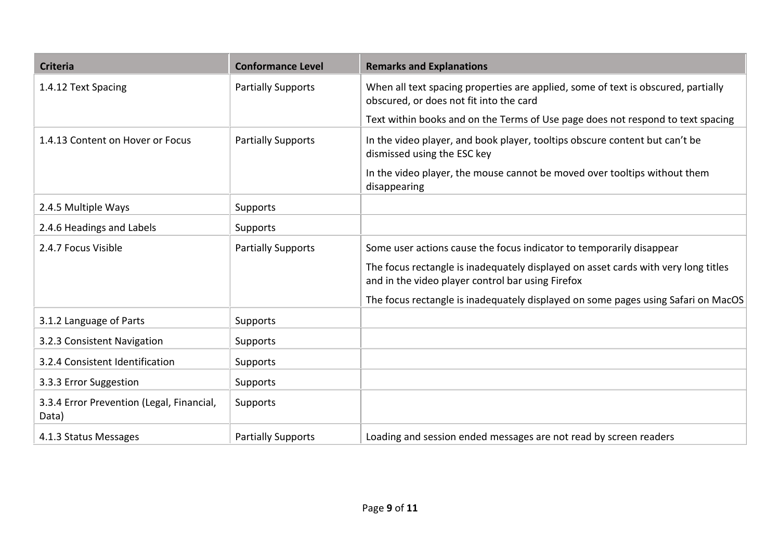| <b>Criteria</b>                                    | <b>Conformance Level</b>  | <b>Remarks and Explanations</b>                                                                                                         |
|----------------------------------------------------|---------------------------|-----------------------------------------------------------------------------------------------------------------------------------------|
| 1.4.12 Text Spacing                                | <b>Partially Supports</b> | When all text spacing properties are applied, some of text is obscured, partially<br>obscured, or does not fit into the card            |
|                                                    |                           | Text within books and on the Terms of Use page does not respond to text spacing                                                         |
| 1.4.13 Content on Hover or Focus                   | <b>Partially Supports</b> | In the video player, and book player, tooltips obscure content but can't be<br>dismissed using the ESC key                              |
|                                                    |                           | In the video player, the mouse cannot be moved over tooltips without them<br>disappearing                                               |
| 2.4.5 Multiple Ways                                | Supports                  |                                                                                                                                         |
| 2.4.6 Headings and Labels                          | Supports                  |                                                                                                                                         |
| 2.4.7 Focus Visible                                | <b>Partially Supports</b> | Some user actions cause the focus indicator to temporarily disappear                                                                    |
|                                                    |                           | The focus rectangle is inadequately displayed on asset cards with very long titles<br>and in the video player control bar using Firefox |
|                                                    |                           | The focus rectangle is inadequately displayed on some pages using Safari on MacOS                                                       |
| 3.1.2 Language of Parts                            | Supports                  |                                                                                                                                         |
| 3.2.3 Consistent Navigation                        | Supports                  |                                                                                                                                         |
| 3.2.4 Consistent Identification                    | Supports                  |                                                                                                                                         |
| 3.3.3 Error Suggestion                             | Supports                  |                                                                                                                                         |
| 3.3.4 Error Prevention (Legal, Financial,<br>Data) | Supports                  |                                                                                                                                         |
| 4.1.3 Status Messages                              | <b>Partially Supports</b> | Loading and session ended messages are not read by screen readers                                                                       |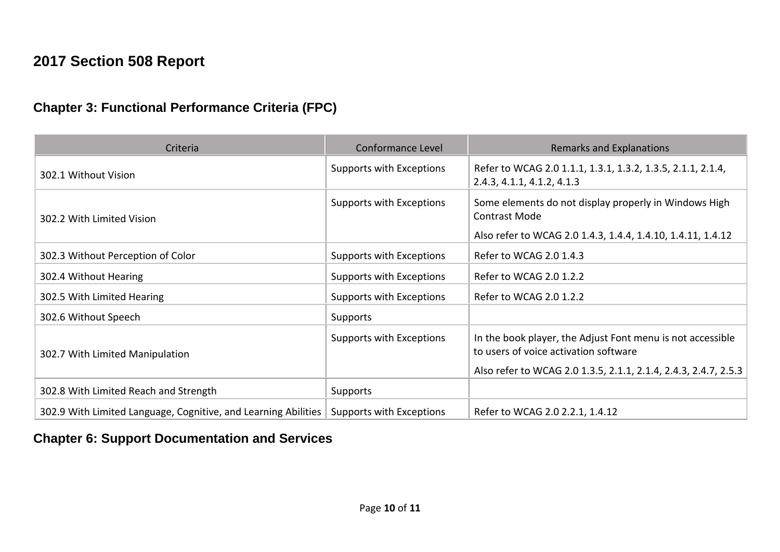### **2017 Section 508 Report**

#### **Chapter 3: Functional Performance Criteria (FPC)**

| Criteria                                                       | Conformance Level        | <b>Remarks and Explanations</b>                                                                     |
|----------------------------------------------------------------|--------------------------|-----------------------------------------------------------------------------------------------------|
| 302.1 Without Vision                                           | Supports with Exceptions | Refer to WCAG 2.0 1.1.1, 1.3.1, 1.3.2, 1.3.5, 2.1.1, 2.1.4,<br>2.4.3, 4.1.1, 4.1.2, 4.1.3           |
| 302.2 With Limited Vision                                      | Supports with Exceptions | Some elements do not display properly in Windows High<br><b>Contrast Mode</b>                       |
|                                                                |                          | Also refer to WCAG 2.0 1.4.3, 1.4.4, 1.4.10, 1.4.11, 1.4.12                                         |
| 302.3 Without Perception of Color                              | Supports with Exceptions | Refer to WCAG 2.0 1.4.3                                                                             |
| 302.4 Without Hearing                                          | Supports with Exceptions | Refer to WCAG 2.0 1.2.2                                                                             |
| 302.5 With Limited Hearing                                     | Supports with Exceptions | Refer to WCAG 2.0 1.2.2                                                                             |
| 302.6 Without Speech                                           | Supports                 |                                                                                                     |
| 302.7 With Limited Manipulation                                | Supports with Exceptions | In the book player, the Adjust Font menu is not accessible<br>to users of voice activation software |
|                                                                |                          | Also refer to WCAG 2.0 1.3.5, 2.1.1, 2.1.4, 2.4.3, 2.4.7, 2.5.3                                     |
| 302.8 With Limited Reach and Strength                          | Supports                 |                                                                                                     |
| 302.9 With Limited Language, Cognitive, and Learning Abilities | Supports with Exceptions | Refer to WCAG 2.0 2.2.1, 1.4.12                                                                     |

#### **Chapter 6: Support Documentation and Services**